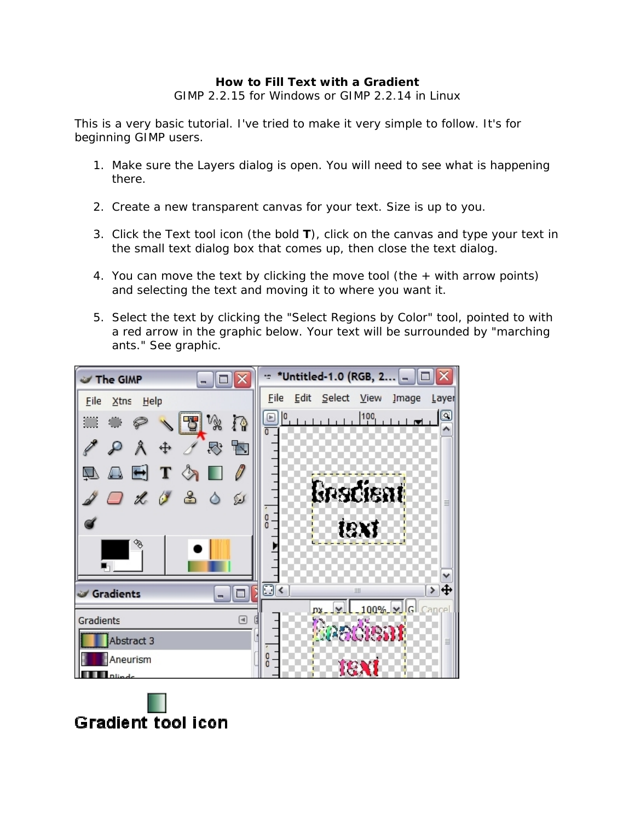## **How to Fill Text with a Gradient**

GIMP 2.2.15 for Windows or GIMP 2.2.14 in Linux

This is a very basic tutorial. I've tried to make it very simple to follow. It's for beginning GIMP users.

- 1. Make sure the Layers dialog is open. You will need to see what is happening there.
- 2. Create a new transparent canvas for your text. Size is up to you.
- 3. Click the Text tool icon (the bold **T**), click on the canvas and type your text in the small text dialog box that comes up, then close the text dialog.
- 4. You can move the text by clicking the move tool (the + with arrow points) and selecting the text and moving it to where you want it.
- 5. Select the text by clicking the "Select Regions by Color" tool, pointed to with a red arrow in the graphic below. Your text will be surrounded by "marching ants." See graphic.



**Gradient tool icon**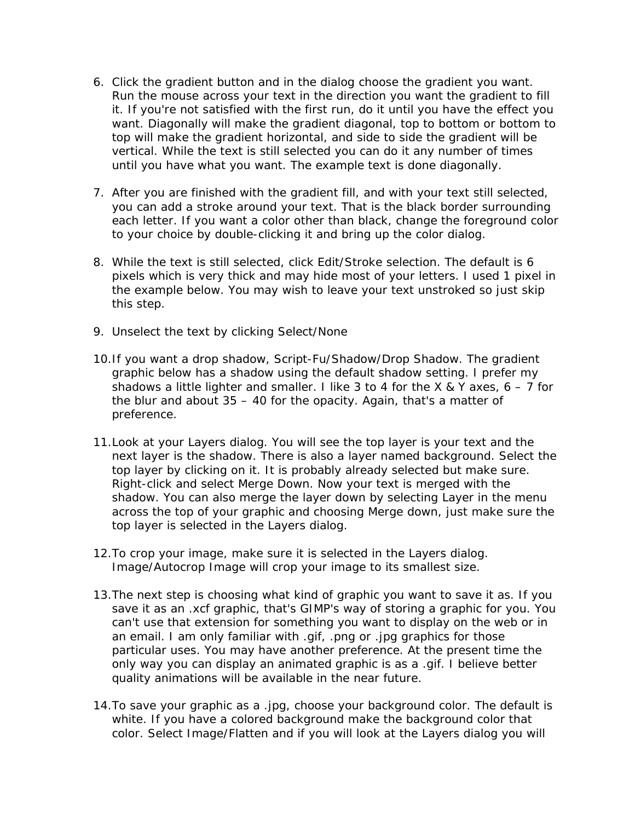- 6. Click the gradient button and in the dialog choose the gradient you want. Run the mouse across your text in the direction you want the gradient to fill it. If you're not satisfied with the first run, do it until you have the effect you want. Diagonally will make the gradient diagonal, top to bottom or bottom to top will make the gradient horizontal, and side to side the gradient will be vertical. While the text is still selected you can do it any number of times until you have what you want. The example text is done diagonally.
- 7. After you are finished with the gradient fill, and with your text still selected, you can add a stroke around your text. That is the black border surrounding each letter. If you want a color other than black, change the foreground color to your choice by double-clicking it and bring up the color dialog.
- 8. While the text is still selected, click Edit/Stroke selection. The default is 6 pixels which is very thick and may hide most of your letters. I used 1 pixel in the example below. You may wish to leave your text unstroked so just skip this step.
- 9. Unselect the text by clicking Select/None
- 10.If you want a drop shadow, Script-Fu/Shadow/Drop Shadow. The gradient graphic below has a shadow using the default shadow setting. I prefer my shadows a little lighter and smaller. I like 3 to 4 for the X & Y axes,  $6 - 7$  for the blur and about 35 – 40 for the opacity. Again, that's a matter of preference.
- 11.Look at your Layers dialog. You will see the top layer is your text and the next layer is the shadow. There is also a layer named background. Select the top layer by clicking on it. It is probably already selected but make sure. Right-click and select Merge Down. Now your text is merged with the shadow. You can also merge the layer down by selecting Layer in the menu across the top of your graphic and choosing Merge down, just make sure the top layer is selected in the Layers dialog.
- 12.To crop your image, make sure it is selected in the Layers dialog. Image/Autocrop Image will crop your image to its smallest size.
- 13.The next step is choosing what kind of graphic you want to save it as. If you save it as an .xcf graphic, that's GIMP's way of storing a graphic for you. You can't use that extension for something you want to display on the web or in an email. I am only familiar with .gif, .png or .jpg graphics for those particular uses. You may have another preference. At the present time the only way you can display an animated graphic is as a .gif. I believe better quality animations will be available in the near future.
- 14.To save your graphic as a .jpg, choose your background color. The default is white. If you have a colored background make the background color that color. Select Image/Flatten and if you will look at the Layers dialog you will